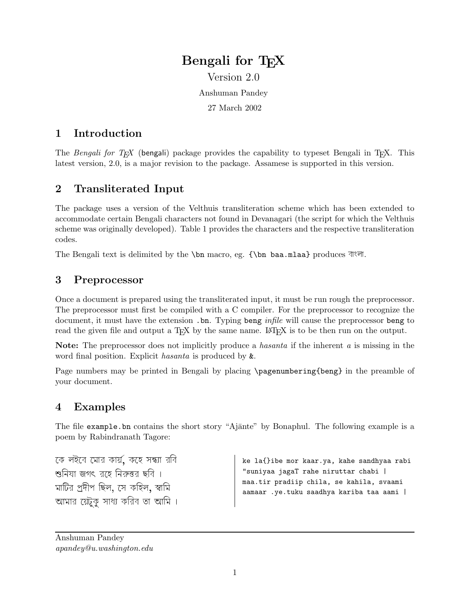# Bengali for T<sub>F</sub>X Version 2.0

Anshuman Pandey

27 March 2002

## 1 Introduction

The Bengali for T<sub>EX</sub> (bengali) package provides the capability to typeset Bengali in T<sub>EX</sub>. This latest version, 2.0, is a major revision to the package. Assamese is supported in this version.

## 2 Transliterated Input

The package uses a version of the Velthuis transliteration scheme which has been extended to accommodate certain Bengali characters not found in Devanagari (the script for which the Velthuis scheme was originally developed). Table 1 provides the characters and the respective transliteration codes.

The Bengali text is delimited by the  $\bn$  macro, eg.  ${\bm \delta}$  baa.mlaa} produces  $\vec{\delta}$ .

### 3 Preprocessor

Once a document is prepared using the transliterated input, it must be run rough the preprocessor. The preprocessor must first be compiled with a C compiler. For the preprocessor to recognize the document, it must have the extension .bn. Typing beng *infile* will cause the preprocessor beng to read the given file and output a T<sub>EX</sub> by the same name. LAT<sub>EX</sub> is to be then run on the output.

Note: The preprocessor does not implicitly produce a *hasanta* if the inherent a is missing in the word final position. Explicit hasanta is produced by &.

Page numbers may be printed in Bengali by placing \pagenumbering{beng} in the preamble of your document.

### 4 Examples

The file example.bn contains the short story "Ajante" by Bonaphul. The following example is a poem by Rabindranath Tagore:

 $$ eb emAr kAyÆ, keh sÆ
A rib শুনিযা জগৎ রহে নিরুত্তর ছবি । inYA jgB reh in¬r Cib . মাটির প্রদীপ ছিল, সে কহিল, স্বামি আমার য়েটুকু সাধ্য করিব তা আমি ।

ke la{}ibe mor kaar.ya, kahe sandhyaa rabi "suniyaa jagaT rahe niruttar chabi | maa.tir pradiip chila, se kahila, svaami aamaar .ye.tuku saadhya kariba taa aami |

Anshuman Pandey apandey@u.washington.edu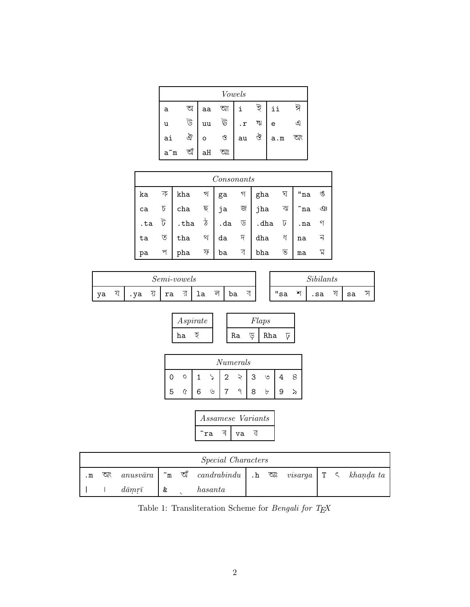| Vowels |     |    |    |           |   |     |    |  |  |  |
|--------|-----|----|----|-----------|---|-----|----|--|--|--|
| а      | অ   | aa | আ  | i         | ই | ii  | ঈ  |  |  |  |
| u      | ট   | uu | ট  | $\cdot$ r | খ | e   | ⊴  |  |  |  |
| ai     | ঐ   | O  | ও  | au        | ঔ | a.m | অং |  |  |  |
| a~m    | ত্য | aH | অঃ |           |   |     |    |  |  |  |

| Consonants |      |                                                                                                                                                                                                                      |                          |                     |                            |              |                 |                       |                |  |  |
|------------|------|----------------------------------------------------------------------------------------------------------------------------------------------------------------------------------------------------------------------|--------------------------|---------------------|----------------------------|--------------|-----------------|-----------------------|----------------|--|--|
| ka         | कि । | kha $\mathcal{A}$ ga                                                                                                                                                                                                 |                          |                     |                            | $\gamma$ gha | ঘ               | $"$ na $\mathfrak{G}$ |                |  |  |
|            |      | cha $\overline{z}$ ja<br>ca $\overline{b}$ cha $\overline{\overline{b}}$ ja $\overline{\overline{w}}$ jha $\overline{\overline{w}}$<br>.ta $\overline{b}$ .tha $\overline{b}$ .da $\overline{v}$ .dha $\overline{b}$ |                          |                     |                            |              |                 | $\tilde{}$ na         | $\mathfrak{P}$ |  |  |
|            |      |                                                                                                                                                                                                                      |                          |                     |                            |              |                 |                       |                |  |  |
| ta         | ত    | $tha$ $\sqrt[3]{}$                                                                                                                                                                                                   |                          | $da$ $\overline{7}$ |                            | $dh$ a       | $\triangleleft$ | na                    |                |  |  |
| pa         | প    | pha                                                                                                                                                                                                                  | $\overline{\mathcal{P}}$ | ba                  | $\overline{\triangleleft}$ | bha          | ভ               | ma                    |                |  |  |

|    | <i>Semi-vowels</i> |    |    |    |               |    |   |    |  | $\sim$ $\cdot$ $\cdot$ $\sim$ $\cdot$ $\sim$<br>$\mathcal{S}ubilants$ |   |    |   |    |    |
|----|--------------------|----|----|----|---------------|----|---|----|--|-----------------------------------------------------------------------|---|----|---|----|----|
| va |                    | va | ۰N | ra | ≺ı<br>$\cdot$ | ⊥а | ল | ba |  | "sa                                                                   | শ | sa | - | sa | ىر |

| Aspirate |    | Flaps |  |
|----------|----|-------|--|
| ha       | Ra | Rha   |  |

| Numerals |   |   |   |   |  |   |   |   |  |  |
|----------|---|---|---|---|--|---|---|---|--|--|
|          | O |   |   | 2 |  | 2 | ৩ |   |  |  |
| 5        |   | 6 | ৬ |   |  |   | ৮ | 9 |  |  |

|     |    | <i>Assamese Variants</i> |
|-----|----|--------------------------|
| 'ra | va |                          |

|              | <i>Special Characters</i> |                        |             |    |                                      |  |  |  |  |  |                                                         |
|--------------|---------------------------|------------------------|-------------|----|--------------------------------------|--|--|--|--|--|---------------------------------------------------------|
| $\mathbf{m}$ | অং                        | anusvāra               | $\tilde{m}$ | অঁ | $cardrahindu$ . h $\Im$ <sup>2</sup> |  |  |  |  |  | <i>visarga</i> $\vert T \vert$ $\zeta$ <i>khanda ta</i> |
|              |                           | $d\bar{a} m r \bar{i}$ | &           |    | hasanta                              |  |  |  |  |  |                                                         |

Table 1: Transliteration Scheme for  $\it{Bengali}$  for TeX